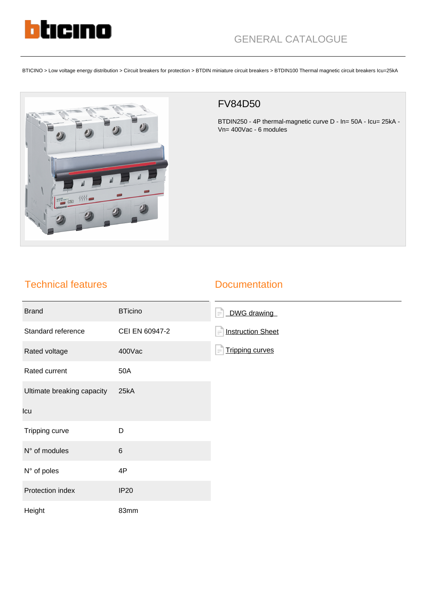

BTICINO > Low voltage energy distribution > Circuit breakers for protection > BTDIN miniature circuit breakers > BTDIN100 Thermal magnetic circuit breakers Icu=25kA



## FV84D50

BTDIN250 - 4P thermal-magnetic curve D - In= 50A - Icu= 25kA - Vn= 400Vac - 6 modules

## Technical features

## **Documentation**

| <b>Brand</b>               | <b>BTicino</b> | DWG drawing<br>⊫।                  |
|----------------------------|----------------|------------------------------------|
| Standard reference         | CEI EN 60947-2 | <b>Instruction Sheet</b><br>$=$    |
| Rated voltage              | 400Vac         | <b>Tripping curves</b><br>$\equiv$ |
| Rated current              | 50A            |                                    |
| Ultimate breaking capacity | 25kA           |                                    |
| Icu                        |                |                                    |
| Tripping curve             | D              |                                    |
| N° of modules              | $\,6$          |                                    |
| N° of poles                | 4P             |                                    |
| Protection index           | <b>IP20</b>    |                                    |
| Height                     | 83mm           |                                    |